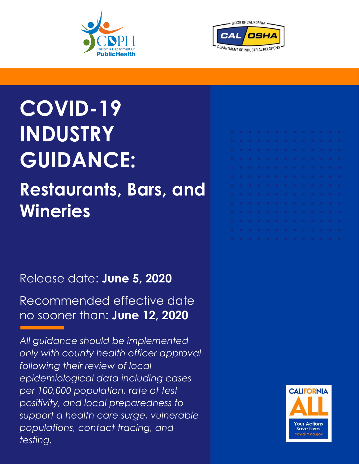



# **COVID-19 INDUSTRY GUIDANCE:**

## **Restaurants, Bars, and Wineries**

### Release date: **June 5, 2020**

Recommended effective date no sooner than: **June 12, 2020**

*All guidance should be implemented only with county health officer approval following their review of local epidemiological data including cases per 100,000 population, rate of test positivity, and local preparedness to support a health care surge, vulnerable populations, contact tracing, and testing.*

| .<br>.<br>.                                 |
|---------------------------------------------|
|                                             |
|                                             |
|                                             |
| .                                           |
| .                                           |
| .                                           |
| .                                           |
| .                                           |
| .                                           |
| .                                           |
| .                                           |
| .                                           |
| where the contract and contract to the con- |
|                                             |

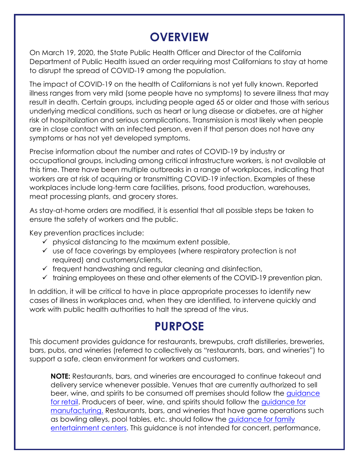#### **OVERVIEW**

On March 19, 2020, the State Public Health Officer and Director of the California Department of Public Health issued an order requiring most Californians to stay at home to disrupt the spread of COVID-19 among the population.

The impact of COVID-19 on the health of Californians is not yet fully known. Reported illness ranges from very mild (some people have no symptoms) to severe illness that may result in death. Certain groups, including people aged 65 or older and those with serious underlying medical conditions, such as heart or lung disease or diabetes, are at higher risk of hospitalization and serious complications. Transmission is most likely when people are in close contact with an infected person, even if that person does not have any symptoms or has not yet developed symptoms.

Precise information about the number and rates of COVID-19 by industry or occupational groups, including among critical infrastructure workers, is not available at this time. There have been multiple outbreaks in a range of workplaces, indicating that workers are at risk of acquiring or transmitting COVID-19 infection. Examples of these workplaces include long-term care facilities, prisons, food production, warehouses, meat processing plants, and grocery stores.

As stay-at-home orders are modified, it is essential that all possible steps be taken to ensure the safety of workers and the public.

Key prevention practices include:

- $\checkmark$  physical distancing to the maximum extent possible,
- ✓ use of face coverings by employees (where respiratory protection is not required) and customers/clients,
- $\checkmark$  frequent handwashing and regular cleaning and disinfection,
- ✓ training employees on these and other elements of the COVID-19 prevention plan.

In addition, it will be critical to have in place appropriate processes to identify new cases of illness in workplaces and, when they are identified, to intervene quickly and work with public health authorities to halt the spread of the virus.

#### **PURPOSE**

This document provides guidance for restaurants, brewpubs, craft distilleries, breweries, bars, pubs, and wineries (referred to collectively as "restaurants, bars, and wineries") to support a safe, clean environment for workers and customers.

**NOTE:** Restaurants, bars, and wineries are encouraged to continue takeout and delivery service whenever possible. Venues that are currently authorized to sell beer, wine, and spirits to be consumed off premises should follow the [guidance](https://covid19.ca.gov/pdf/guidance-retail.pdf) [for retail.](https://covid19.ca.gov/pdf/guidance-retail.pdf) Producers of beer, wine, and spirits should follow the [guidance for](https://covid19.ca.gov/pdf/guidance-manufacturing.pdf)  [manufacturing.](https://covid19.ca.gov/pdf/guidance-manufacturing.pdf) Restaurants, bars, and wineries that have game operations such as bowling alleys, pool tables, etc. should follow the [guidance for](https://covid19.ca.gov/pdf/guidance-family-entertainment-centers.pdf) family [entertainment centers.](https://covid19.ca.gov/pdf/guidance-family-entertainment-centers.pdf) This guidance is not intended for concert, performance,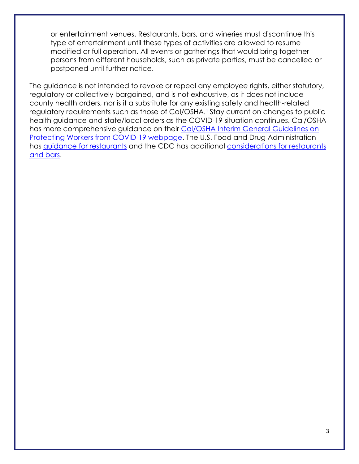or entertainment venues. Restaurants, bars, and wineries must discontinue this type of entertainment until these types of activities are allowed to resume modified or full operation. All events or gatherings that would bring together persons from different households, such as private parties, must be cancelled or postponed until further notice.

The guidance is not intended to revoke or repeal any employee rights, either statutory, regulatory or collectively bargained, and is not exhaustive, as it does not include county health orders, nor is it a substitute for any existing safety and health-related regulatory requirements such as those of Cal/OSHA.<sup>[1](#page-13-0)</sup> Stay current on changes to public health guidance and state/local orders as the COVID-19 situation continues. Cal/OSHA has more comprehensive guidance on their [Cal/OSHA Interim General Guidelines on](https://www.dir.ca.gov/dosh/coronavirus/General-Industry.html)  [Protecting Workers from COVID-19 webpage.](https://www.dir.ca.gov/dosh/coronavirus/General-Industry.html) The U.S. Food and Drug Administration has [guidance for restaurants](https://www.fda.gov/food/food-safety-during-emergencies/best-practices-retail-food-stores-restaurants-and-food-pick-updelivery-services-during-covid-19) and the CDC has additional [considerations for restaurants](https://www.cdc.gov/coronavirus/2019-ncov/community/organizations/business-employers/bars-restaurants.html)  [and bars.](https://www.cdc.gov/coronavirus/2019-ncov/community/organizations/business-employers/bars-restaurants.html)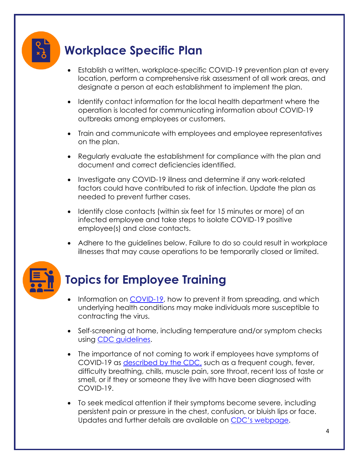#### **Workplace Specific Plan**

- Establish a written, workplace-specific COVID-19 prevention plan at every location, perform a comprehensive risk assessment of all work areas, and designate a person at each establishment to implement the plan.
- Identify contact information for the local health department where the operation is located for communicating information about COVID-19 outbreaks among employees or customers.
- Train and communicate with employees and employee representatives on the plan.
- Regularly evaluate the establishment for compliance with the plan and document and correct deficiencies identified.
- Investigate any COVID-19 illness and determine if any work-related factors could have contributed to risk of infection. Update the plan as needed to prevent further cases.
- Identify close contacts (within six feet for 15 minutes or more) of an infected employee and take steps to isolate COVID-19 positive employee(s) and close contacts.
- Adhere to the guidelines below. Failure to do so could result in workplace illnesses that may cause operations to be temporarily closed or limited.



#### **Topics for Employee Training**

- Information on [COVID-19,](https://www.cdc.gov/coronavirus/2019-ncov/index.html) how to prevent it from spreading, and which underlying health conditions may make individuals more susceptible to contracting the virus.
- Self-screening at home, including temperature and/or symptom checks using [CDC guidelines.](https://www.cdc.gov/coronavirus/2019-ncov/symptoms-testing/symptoms.html)
- The importance of not coming to work if employees have symptoms of COVID-19 as [described by the CDC,](https://www.cdc.gov/coronavirus/2019-ncov/symptoms-testing/symptoms.html) such as a frequent cough, fever, difficulty breathing, chills, muscle pain, sore throat, recent loss of taste or smell, or if they or someone they live with have been diagnosed with COVID-19.
- To seek medical attention if their symptoms become severe, including persistent pain or pressure in the chest, confusion, or bluish lips or face. Updates and further details are available on [CDC's webpage](https://www.cdc.gov/coronavirus/2019-ncov/symptoms-testing/symptoms.html).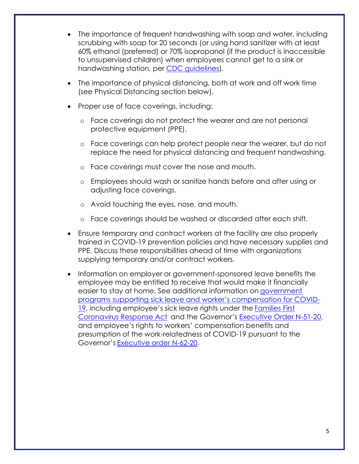- The importance of frequent handwashing with soap and water, including scrubbing with soap for 20 seconds (or using hand sanitizer with at least 60% ethanol (preferred) or 70% isopropanol (if the product is inaccessible to unsupervised children) when employees cannot get to a sink or handwashing station, per [CDC guidelines\)](https://www.cdc.gov/handwashing/hand-sanitizer-use.html).
- The importance of physical distancing, both at work and off work time (see Physical Distancing section below).
- Proper use of face coverings, including:
	- o Face coverings do not protect the wearer and are not personal protective equipment (PPE).
	- o Face coverings can help protect people near the wearer, but do not replace the need for physical distancing and frequent handwashing.
	- o Face coverings must cover the nose and mouth.
	- o Employees should wash or sanitize hands before and after using or adjusting face coverings.
	- o Avoid touching the eyes, nose, and mouth.
	- o Face coverings should be washed or discarded after each shift.
- Ensure temporary and contract workers at the facility are also properly trained in COVID-19 prevention policies and have necessary supplies and PPE. Discuss these responsibilities ahead of time with organizations supplying temporary and/or contract workers.
- Information on employer or government-sponsored leave benefits the employee may be entitled to receive that would make it financially easier to stay at home. See additional information on [government](https://www.labor.ca.gov/coronavirus2019/#chart)  [programs supporting sick leave and worker's compensation for COVID](https://www.labor.ca.gov/coronavirus2019/#chart)-[19](https://www.labor.ca.gov/coronavirus2019/#chart), including employee's sick leave rights under the [Families First](https://www.dol.gov/agencies/whd/pandemic/ffcra-employee-paid-leave) [Coronavirus Response Act](https://www.dol.gov/agencies/whd/pandemic/ffcra-employee-paid-leave) and the Governor's [Executive Order N-51-20,](https://www.gov.ca.gov/wp-content/uploads/2020/04/4.16.20-EO-N-51-20.pdf) and employee's rights to workers' compensation benefits and presumption of the work-relatedness of COVID-19 pursuant to the Governor's [Executive order N-62-20.](https://www.gov.ca.gov/wp-content/uploads/2020/05/5.6.20-EO-N-62-20-text.pdf)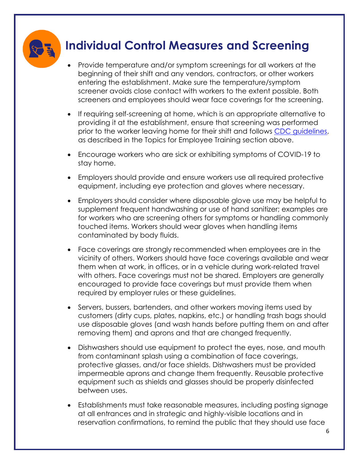

#### **Individual Control Measures and Screening**

- Provide temperature and/or symptom screenings for all workers at the beginning of their shift and any vendors, contractors, or other workers entering the establishment. Make sure the temperature/symptom screener avoids close contact with workers to the extent possible. Both screeners and employees should wear face coverings for the screening.
- If requiring self-screening at home, which is an appropriate alternative to providing it at the establishment, ensure that screening was performed prior to the worker leaving home for their shift and follows [CDC guidelines,](https://www.cdc.gov/coronavirus/2019-ncov/symptoms-testing/symptoms.html) as described in the Topics for Employee Training section above.
- Encourage workers who are sick or exhibiting symptoms of COVID-19 to stay home.
- Employers should provide and ensure workers use all required protective equipment, including eye protection and gloves where necessary.
- Employers should consider where disposable glove use may be helpful to supplement frequent handwashing or use of hand sanitizer; examples are for workers who are screening others for symptoms or handling commonly touched items. Workers should wear gloves when handling items contaminated by body fluids.
- Face coverings are strongly recommended when employees are in the vicinity of others. Workers should have face coverings available and wear them when at work, in offices, or in a vehicle during work-related travel with others. Face coverings must not be shared. Employers are generally encouraged to provide face coverings but must provide them when required by employer rules or these guidelines.
- Servers, bussers, bartenders, and other workers moving items used by customers (dirty cups, plates, napkins, etc.) or handling trash bags should use disposable gloves (and wash hands before putting them on and after removing them) and aprons and that are changed frequently.
- Dishwashers should use equipment to protect the eyes, nose, and mouth from contaminant splash using a combination of face coverings, protective glasses, and/or face shields. Dishwashers must be provided impermeable aprons and change them frequently. Reusable protective equipment such as shields and glasses should be properly disinfected between uses.
- Establishments must take reasonable measures, including posting signage at all entrances and in strategic and highly-visible locations and in reservation confirmations, to remind the public that they should use face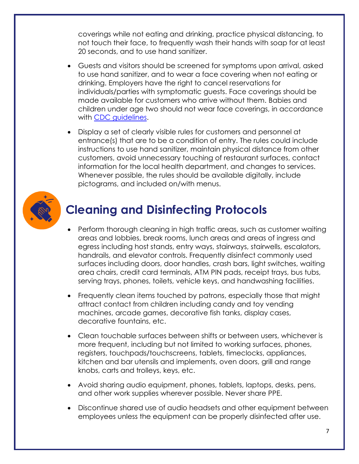coverings while not eating and drinking, practice physical distancing, to not touch their face, to frequently wash their hands with soap for at least 20 seconds, and to use hand sanitizer.

- Guests and visitors should be screened for symptoms upon arrival, asked to use hand sanitizer, and to wear a face covering when not eating or drinking. Employers have the right to cancel reservations for individuals/parties with symptomatic guests. Face coverings should be made available for customers who arrive without them. Babies and children under age two should not wear face coverings, in accordance with [CDC guidelines.](https://www.cdc.gov/coronavirus/2019-ncov/community/schools-childcare/guidance-for-childcare.html)
- Display a set of clearly visible rules for customers and personnel at entrance(s) that are to be a condition of entry. The rules could include instructions to use hand sanitizer, maintain physical distance from other customers, avoid unnecessary touching of restaurant surfaces, contact information for the local health department, and changes to services. Whenever possible, the rules should be available digitally, include pictograms, and included on/with menus.



#### **Cleaning and Disinfecting Protocols**

- Perform thorough cleaning in high traffic areas, such as customer waiting areas and lobbies, break rooms, lunch areas and areas of ingress and egress including host stands, entry ways, stairways, stairwells, escalators, handrails, and elevator controls. Frequently disinfect commonly used surfaces including doors, door handles, crash bars, light switches, waiting area chairs, credit card terminals, ATM PIN pads, receipt trays, bus tubs, serving trays, phones, toilets, vehicle keys, and handwashing facilities.
- Frequently clean items touched by patrons, especially those that might attract contact from children including candy and toy vending machines, arcade games, decorative fish tanks, display cases, decorative fountains, etc.
- Clean touchable surfaces between shifts or between users, whichever is more frequent, including but not limited to working surfaces, phones, registers, touchpads/touchscreens, tablets, timeclocks, appliances, kitchen and bar utensils and implements, oven doors, grill and range knobs, carts and trolleys, keys, etc.
- Avoid sharing audio equipment, phones, tablets, laptops, desks, pens, and other work supplies wherever possible. Never share PPE.
- Discontinue shared use of audio headsets and other equipment between employees unless the equipment can be properly disinfected after use.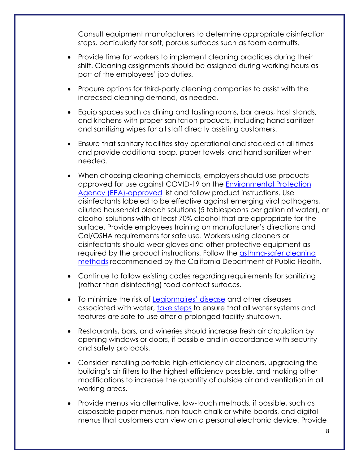Consult equipment manufacturers to determine appropriate disinfection steps, particularly for soft, porous surfaces such as foam earmuffs.

- Provide time for workers to implement cleaning practices during their shift. Cleaning assignments should be assigned during working hours as part of the employees' job duties.
- Procure options for third-party cleaning companies to assist with the increased cleaning demand, as needed.
- Equip spaces such as dining and tasting rooms, bar areas, host stands, and kitchens with proper sanitation products, including hand sanitizer and sanitizing wipes for all staff directly assisting customers.
- Ensure that sanitary facilities stay operational and stocked at all times and provide additional soap, paper towels, and hand sanitizer when needed.
- When choosing cleaning chemicals, employers should use products approved for use against COVID-19 on the [Environmental Protection](https://www.epa.gov/pesticide-registration/list-n-disinfectants-use-against-sars-cov-2)  [Agency \(EPA\)-approved](https://www.epa.gov/pesticide-registration/list-n-disinfectants-use-against-sars-cov-2) list and follow product instructions. Use disinfectants labeled to be effective against emerging viral pathogens, diluted household bleach solutions (5 tablespoons per gallon of water), or alcohol solutions with at least 70% alcohol that are appropriate for the surface. Provide employees training on manufacturer's directions and Cal/OSHA requirements for safe use. Workers using cleaners or disinfectants should wear gloves and other protective equipment as required by the product instructions. Follow the [asthma-safer cleaning](https://www.cdph.ca.gov/Programs/CCDPHP/DEODC/OHB/Pages/OHWMay2020.aspx)  [methods](https://www.cdph.ca.gov/Programs/CCDPHP/DEODC/OHB/Pages/OHWMay2020.aspx) recommended by the California Department of Public Health.
- Continue to follow existing codes regarding requirements for sanitizing (rather than disinfecting) food contact surfaces.
- To minimize the risk of [Legionnaires' disease](https://www.cdc.gov/legionella/index.html) and other diseases associated with water, [take steps](https://www.cdc.gov/coronavirus/2019-ncov/php/building-water-system.html) to ensure that all water systems and features are safe to use after a prolonged facility shutdown.
- Restaurants, bars, and wineries should increase fresh air circulation by opening windows or doors, if possible and in accordance with security and safety protocols.
- Consider installing portable high-efficiency air cleaners, upgrading the building's air filters to the highest efficiency possible, and making other modifications to increase the quantity of outside air and ventilation in all working areas.
- Provide menus via alternative, low-touch methods, if possible, such as disposable paper menus, non-touch chalk or white boards, and digital menus that customers can view on a personal electronic device. Provide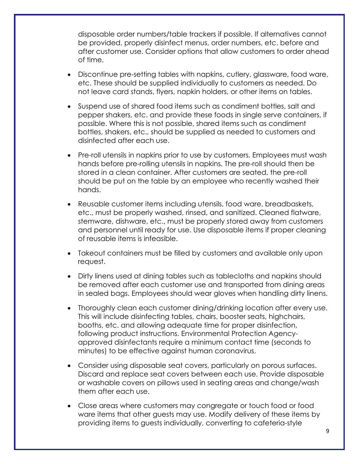disposable order numbers/table trackers if possible. If alternatives cannot be provided, properly disinfect menus, order numbers, etc. before and after customer use. Consider options that allow customers to order ahead of time.

- Discontinue pre-setting tables with napkins, cutlery, glassware, food ware, etc. These should be supplied individually to customers as needed. Do not leave card stands, flyers, napkin holders, or other items on tables.
- Suspend use of shared food items such as condiment bottles, salt and pepper shakers, etc. and provide these foods in single serve containers, if possible. Where this is not possible, shared items such as condiment bottles, shakers, etc., should be supplied as needed to customers and disinfected after each use.
- Pre-roll utensils in napkins prior to use by customers. Employees must wash hands before pre-rolling utensils in napkins. The pre-roll should then be stored in a clean container. After customers are seated, the pre-roll should be put on the table by an employee who recently washed their hands.
- Reusable customer items including utensils, food ware, breadbaskets, etc., must be properly washed, rinsed, and sanitized. Cleaned flatware, stemware, dishware, etc., must be properly stored away from customers and personnel until ready for use. Use disposable items if proper cleaning of reusable items is infeasible.
- Takeout containers must be filled by customers and available only upon request.
- Dirty linens used at dining tables such as tablecloths and napkins should be removed after each customer use and transported from dining areas in sealed bags. Employees should wear gloves when handling dirty linens.
- Thoroughly clean each customer dining/drinking location after every use. This will include disinfecting tables, chairs, booster seats, highchairs, booths, etc. and allowing adequate time for proper disinfection, following product instructions. Environmental Protection Agencyapproved disinfectants require a minimum contact time (seconds to minutes) to be effective against human coronavirus.
- Consider using disposable seat covers, particularly on porous surfaces. Discard and replace seat covers between each use. Provide disposable or washable covers on pillows used in seating areas and change/wash them after each use.
- Close areas where customers may congregate or touch food or food ware items that other guests may use. Modify delivery of these items by providing items to guests individually, converting to cafeteria-style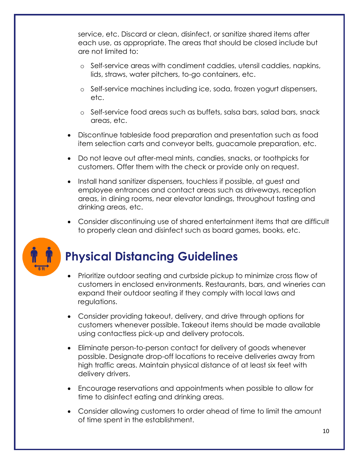service, etc. Discard or clean, disinfect, or sanitize shared items after each use, as appropriate. The areas that should be closed include but are not limited to:

- o Self-service areas with condiment caddies, utensil caddies, napkins, lids, straws, water pitchers, to-go containers, etc.
- o Self-service machines including ice, soda, frozen yogurt dispensers, etc.
- o Self-service food areas such as buffets, salsa bars, salad bars, snack areas, etc.
- Discontinue tableside food preparation and presentation such as food item selection carts and conveyor belts, guacamole preparation, etc.
- Do not leave out after-meal mints, candies, snacks, or toothpicks for customers. Offer them with the check or provide only on request.
- Install hand sanitizer dispensers, touchless if possible, at guest and employee entrances and contact areas such as driveways, reception areas, in dining rooms, near elevator landings, throughout tasting and drinking areas, etc.
- Consider discontinuing use of shared entertainment items that are difficult to properly clean and disinfect such as board games, books, etc.



### **Physical Distancing Guidelines**

- Prioritize outdoor seating and curbside pickup to minimize cross flow of customers in enclosed environments. Restaurants, bars, and wineries can expand their outdoor seating if they comply with local laws and regulations.
- Consider providing takeout, delivery, and drive through options for customers whenever possible. Takeout items should be made available using contactless pick-up and delivery protocols.
- Eliminate person-to-person contact for delivery of goods whenever possible. Designate drop-off locations to receive deliveries away from high traffic areas. Maintain physical distance of at least six feet with delivery drivers.
- Encourage reservations and appointments when possible to allow for time to disinfect eating and drinking areas.
- Consider allowing customers to order ahead of time to limit the amount of time spent in the establishment.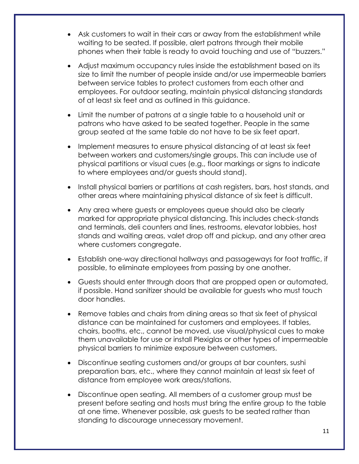- Ask customers to wait in their cars or away from the establishment while waiting to be seated. If possible, alert patrons through their mobile phones when their table is ready to avoid touching and use of "buzzers."
- Adjust maximum occupancy rules inside the establishment based on its size to limit the number of people inside and/or use impermeable barriers between service tables to protect customers from each other and employees. For outdoor seating, maintain physical distancing standards of at least six feet and as outlined in this guidance.
- Limit the number of patrons at a single table to a household unit or patrons who have asked to be seated together. People in the same group seated at the same table do not have to be six feet apart.
- Implement measures to ensure physical distancing of at least six feet between workers and customers/single groups. This can include use of physical partitions or visual cues (e.g., floor markings or signs to indicate to where employees and/or guests should stand).
- Install physical barriers or partitions at cash registers, bars, host stands, and other areas where maintaining physical distance of six feet is difficult.
- Any area where guests or employees queue should also be clearly marked for appropriate physical distancing. This includes check-stands and terminals, deli counters and lines, restrooms, elevator lobbies, host stands and waiting areas, valet drop off and pickup, and any other area where customers congregate.
- Establish one-way directional hallways and passageways for foot traffic, if possible, to eliminate employees from passing by one another.
- Guests should enter through doors that are propped open or automated, if possible. Hand sanitizer should be available for guests who must touch door handles.
- Remove tables and chairs from dining areas so that six feet of physical distance can be maintained for customers and employees. If tables, chairs, booths, etc., cannot be moved, use visual/physical cues to make them unavailable for use or install Plexiglas or other types of impermeable physical barriers to minimize exposure between customers.
- Discontinue seating customers and/or groups at bar counters, sushi preparation bars, etc., where they cannot maintain at least six feet of distance from employee work areas/stations.
- Discontinue open seating. All members of a customer group must be present before seating and hosts must bring the entire group to the table at one time. Whenever possible, ask guests to be seated rather than standing to discourage unnecessary movement.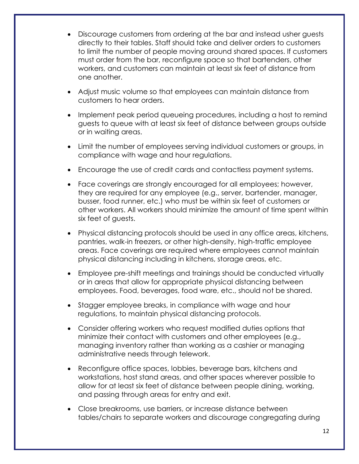- Discourage customers from ordering at the bar and instead usher guests directly to their tables. Staff should take and deliver orders to customers to limit the number of people moving around shared spaces. If customers must order from the bar, reconfigure space so that bartenders, other workers, and customers can maintain at least six feet of distance from one another.
- Adjust music volume so that employees can maintain distance from customers to hear orders.
- Implement peak period queueing procedures, including a host to remind guests to queue with at least six feet of distance between groups outside or in waiting areas.
- Limit the number of employees serving individual customers or groups, in compliance with wage and hour regulations.
- Encourage the use of credit cards and contactless payment systems.
- Face coverings are strongly encouraged for all employees; however, they are required for any employee (e.g., server, bartender, manager, busser, food runner, etc.) who must be within six feet of customers or other workers. All workers should minimize the amount of time spent within six feet of guests.
- Physical distancing protocols should be used in any office areas, kitchens, pantries, walk-in freezers, or other high-density, high-traffic employee areas. Face coverings are required where employees cannot maintain physical distancing including in kitchens, storage areas, etc.
- Employee pre-shift meetings and trainings should be conducted virtually or in areas that allow for appropriate physical distancing between employees. Food, beverages, food ware, etc., should not be shared.
- Stagger employee breaks, in compliance with wage and hour regulations, to maintain physical distancing protocols.
- Consider offering workers who request modified duties options that minimize their contact with customers and other employees (e.g., managing inventory rather than working as a cashier or managing administrative needs through telework.
- Reconfigure office spaces, lobbies, beverage bars, kitchens and workstations, host stand areas, and other spaces wherever possible to allow for at least six feet of distance between people dining, working, and passing through areas for entry and exit.
- Close breakrooms, use barriers, or increase distance between tables/chairs to separate workers and discourage congregating during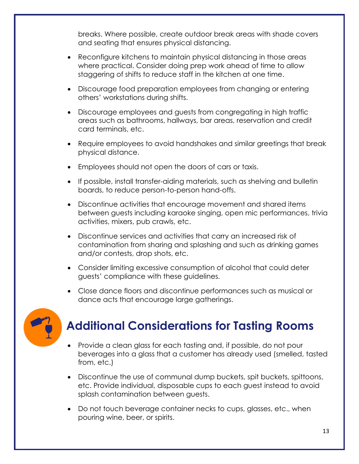breaks. Where possible, create outdoor break areas with shade covers and seating that ensures physical distancing.

- Reconfigure kitchens to maintain physical distancing in those areas where practical. Consider doing prep work ahead of time to allow staggering of shifts to reduce staff in the kitchen at one time.
- Discourage food preparation employees from changing or entering others' workstations during shifts.
- Discourage employees and guests from congregating in high traffic areas such as bathrooms, hallways, bar areas, reservation and credit card terminals, etc.
- Require employees to avoid handshakes and similar greetings that break physical distance.
- Employees should not open the doors of cars or taxis.
- If possible, install transfer-aiding materials, such as shelving and bulletin boards, to reduce person-to-person hand-offs.
- Discontinue activities that encourage movement and shared items between guests including karaoke singing, open mic performances, trivia activities, mixers, pub crawls, etc.
- Discontinue services and activities that carry an increased risk of contamination from sharing and splashing and such as drinking games and/or contests, drop shots, etc.
- Consider limiting excessive consumption of alcohol that could deter guests' compliance with these guidelines.
- Close dance floors and discontinue performances such as musical or dance acts that encourage large gatherings.



### **Additional Considerations for Tasting Rooms**

- Provide a clean glass for each tasting and, if possible, do not pour beverages into a glass that a customer has already used (smelled, tasted from, etc.)
- Discontinue the use of communal dump buckets, spit buckets, spittoons, etc. Provide individual, disposable cups to each guest instead to avoid splash contamination between guests.
- Do not touch beverage container necks to cups, glasses, etc., when pouring wine, beer, or spirits.